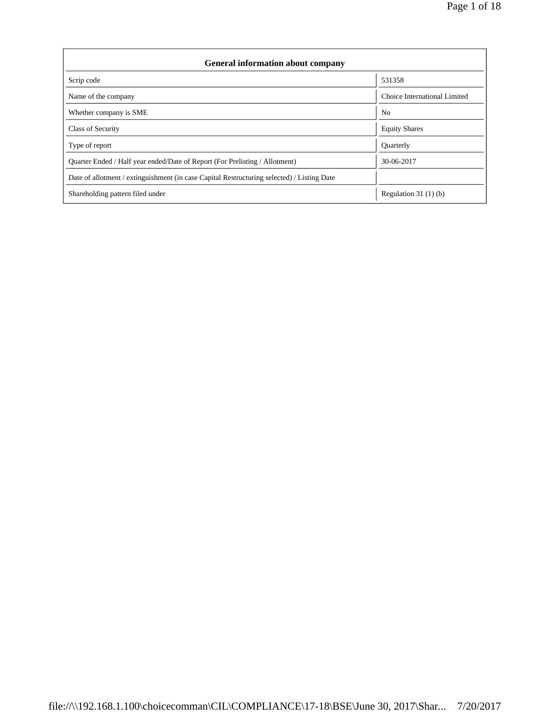| <b>General information about company</b>                                                   |                              |
|--------------------------------------------------------------------------------------------|------------------------------|
| Scrip code                                                                                 | 531358                       |
| Name of the company                                                                        | Choice International Limited |
| Whether company is SME                                                                     | N <sub>0</sub>               |
| <b>Class of Security</b>                                                                   | <b>Equity Shares</b>         |
| Type of report                                                                             | Quarterly                    |
| Quarter Ended / Half year ended/Date of Report (For Prelisting / Allotment)                | 30-06-2017                   |
| Date of allotment / extinguishment (in case Capital Restructuring selected) / Listing Date |                              |
| Shareholding pattern filed under                                                           | Regulation $31(1)(b)$        |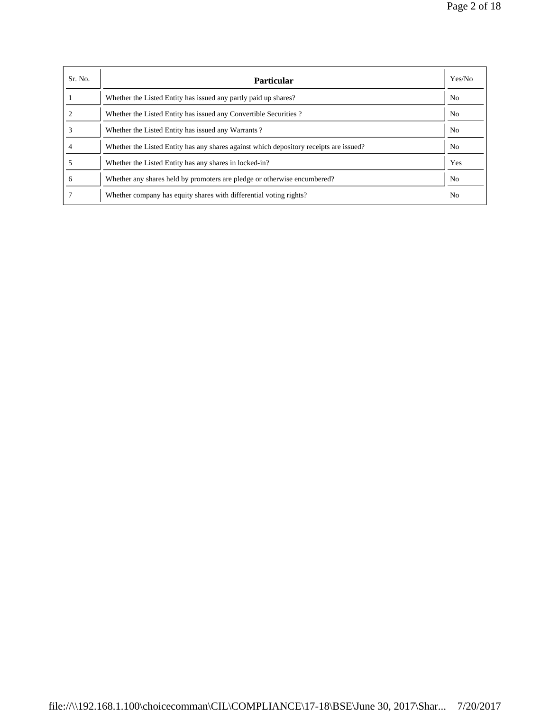| Sr. No. | <b>Particular</b>                                                                      | Yes/No         |
|---------|----------------------------------------------------------------------------------------|----------------|
|         | Whether the Listed Entity has issued any partly paid up shares?                        | N <sub>o</sub> |
|         | Whether the Listed Entity has issued any Convertible Securities?                       | N <sub>o</sub> |
|         | Whether the Listed Entity has issued any Warrants?                                     | N <sub>o</sub> |
| 4       | Whether the Listed Entity has any shares against which depository receipts are issued? | N <sub>0</sub> |
|         | Whether the Listed Entity has any shares in locked-in?                                 | Yes            |
| 6       | Whether any shares held by promoters are pledge or otherwise encumbered?               | N <sub>0</sub> |
|         | Whether company has equity shares with differential voting rights?                     | N <sub>0</sub> |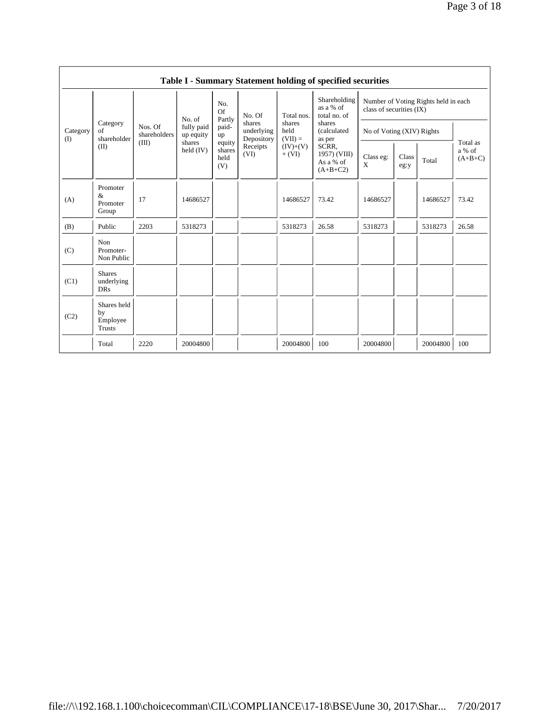|                 |                                                |                         |                         |                                 |                                    |                             | Table I - Summary Statement holding of specified securities |                           |               |                                      |                                 |
|-----------------|------------------------------------------------|-------------------------|-------------------------|---------------------------------|------------------------------------|-----------------------------|-------------------------------------------------------------|---------------------------|---------------|--------------------------------------|---------------------------------|
|                 |                                                |                         | No. of                  | No.<br><b>Of</b><br>Partly      | No. Of                             | Total nos.                  | Shareholding<br>as a % of<br>total no. of                   | class of securities (IX)  |               | Number of Voting Rights held in each |                                 |
| Category<br>(I) | Category<br>of<br>shareholder                  | Nos. Of<br>shareholders | fully paid<br>up equity | paid-<br>up                     | shares<br>underlying<br>Depository | shares<br>held<br>$(VII) =$ | shares<br>(calculated<br>as per                             | No of Voting (XIV) Rights |               |                                      |                                 |
|                 | (II)                                           | (III)                   | shares<br>held $(IV)$   | equity<br>shares<br>held<br>(V) | Receipts<br>(VI)                   | $(IV)+(V)$<br>$+ (VI)$      | SCRR.<br>1957) (VIII)<br>As a % of<br>$(A+B+C2)$            | Class eg:<br>X            | Class<br>eg:y | Total                                | Total as<br>a % of<br>$(A+B+C)$ |
| (A)             | Promoter<br>&<br>Promoter<br>Group             | 17                      | 14686527                |                                 |                                    | 14686527                    | 73.42                                                       | 14686527                  |               | 14686527                             | 73.42                           |
| (B)             | Public                                         | 2203                    | 5318273                 |                                 |                                    | 5318273                     | 26.58                                                       | 5318273                   |               | 5318273                              | 26.58                           |
| (C)             | Non<br>Promoter-<br>Non Public                 |                         |                         |                                 |                                    |                             |                                                             |                           |               |                                      |                                 |
| (C1)            | <b>Shares</b><br>underlying<br><b>DRs</b>      |                         |                         |                                 |                                    |                             |                                                             |                           |               |                                      |                                 |
| (C2)            | Shares held<br>by<br>Employee<br><b>Trusts</b> |                         |                         |                                 |                                    |                             |                                                             |                           |               |                                      |                                 |
|                 | Total                                          | 2220                    | 20004800                |                                 |                                    | 20004800                    | 100                                                         | 20004800                  |               | 20004800                             | 100                             |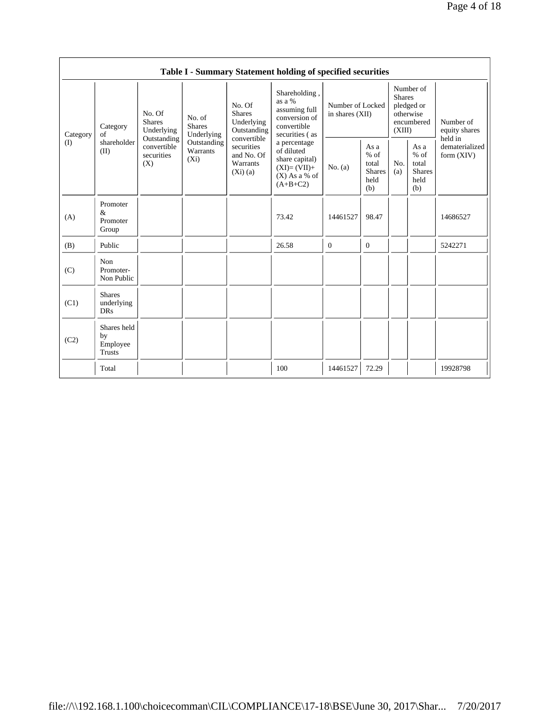|          |                                           |                                                 |                                       |                                                                | Table I - Summary Statement holding of specified securities                                    |                                     |                                                         |                         |                                                         |                                           |
|----------|-------------------------------------------|-------------------------------------------------|---------------------------------------|----------------------------------------------------------------|------------------------------------------------------------------------------------------------|-------------------------------------|---------------------------------------------------------|-------------------------|---------------------------------------------------------|-------------------------------------------|
| Category | Category<br>of                            | No. Of<br><b>Shares</b><br>Underlying           | No. of<br><b>Shares</b><br>Underlying | No. Of<br><b>Shares</b><br>Underlying<br>Outstanding           | Shareholding,<br>as a %<br>assuming full<br>conversion of<br>convertible<br>securities (as     | Number of Locked<br>in shares (XII) |                                                         | <b>Shares</b><br>(XIII) | Number of<br>pledged or<br>otherwise<br>encumbered      | Number of<br>equity shares                |
| (I)      | shareholder<br>(II)                       | Outstanding<br>convertible<br>securities<br>(X) | Outstanding<br>Warrants<br>$(X_i)$    | convertible<br>securities<br>and No. Of<br>Warrants<br>(Xi)(a) | a percentage<br>of diluted<br>share capital)<br>$(XI)=(VII)+$<br>$(X)$ As a % of<br>$(A+B+C2)$ | No. (a)                             | As a<br>$%$ of<br>total<br><b>Shares</b><br>held<br>(b) | No.<br>(a)              | As a<br>$%$ of<br>total<br><b>Shares</b><br>held<br>(b) | held in<br>dematerialized<br>form $(XIV)$ |
| (A)      | Promoter<br>&<br>Promoter<br>Group        |                                                 |                                       |                                                                | 73.42                                                                                          | 14461527                            | 98.47                                                   |                         |                                                         | 14686527                                  |
| (B)      | Public                                    |                                                 |                                       |                                                                | 26.58                                                                                          | $\bf{0}$                            | $\mathbf{0}$                                            |                         |                                                         | 5242271                                   |
| (C)      | Non<br>Promoter-<br>Non Public            |                                                 |                                       |                                                                |                                                                                                |                                     |                                                         |                         |                                                         |                                           |
| (C1)     | <b>Shares</b><br>underlying<br><b>DRs</b> |                                                 |                                       |                                                                |                                                                                                |                                     |                                                         |                         |                                                         |                                           |
| (C2)     | Shares held<br>by<br>Employee<br>Trusts   |                                                 |                                       |                                                                |                                                                                                |                                     |                                                         |                         |                                                         |                                           |
|          | Total                                     |                                                 |                                       |                                                                | 100                                                                                            | 14461527                            | 72.29                                                   |                         |                                                         | 19928798                                  |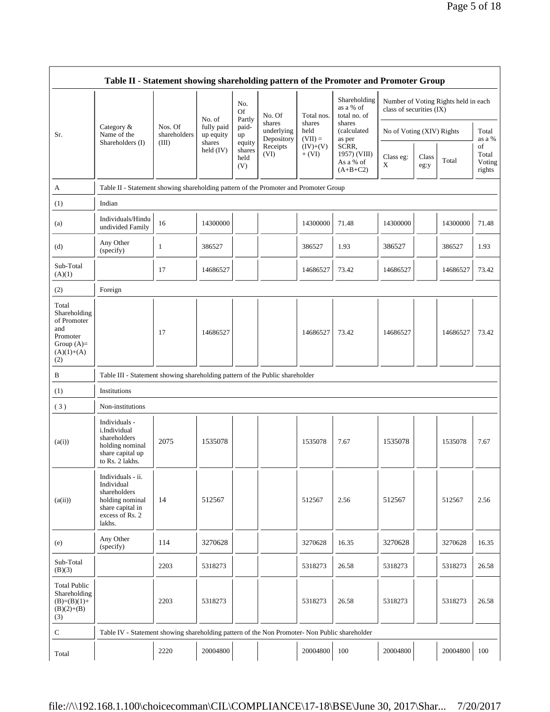|                                                                                                | Table II - Statement showing shareholding pattern of the Promoter and Promoter Group                                |                         |                                   |                                 |                                    |                             |                                                  |                           |               |                                      |                                 |
|------------------------------------------------------------------------------------------------|---------------------------------------------------------------------------------------------------------------------|-------------------------|-----------------------------------|---------------------------------|------------------------------------|-----------------------------|--------------------------------------------------|---------------------------|---------------|--------------------------------------|---------------------------------|
|                                                                                                |                                                                                                                     |                         |                                   | No.<br>Of                       | No. Of                             | Total nos.                  | Shareholding<br>as a % of<br>total no. of        | class of securities (IX)  |               | Number of Voting Rights held in each |                                 |
| Sr.                                                                                            | Category &<br>Name of the                                                                                           | Nos. Of<br>shareholders | No. of<br>fully paid<br>up equity | Partly<br>paid-<br>up           | shares<br>underlying<br>Depository | shares<br>held<br>$(VII) =$ | shares<br>(calculated<br>as per                  | No of Voting (XIV) Rights |               |                                      | Total<br>as a %                 |
|                                                                                                | Shareholders (I)                                                                                                    | (III)                   | shares<br>held $(IV)$             | equity<br>shares<br>held<br>(V) | Receipts<br>(VI)                   | $(IV)+(V)$<br>$+ (VI)$      | SCRR,<br>1957) (VIII)<br>As a % of<br>$(A+B+C2)$ | Class eg:<br>X            | Class<br>eg:y | Total                                | of<br>Total<br>Voting<br>rights |
| A                                                                                              | Table II - Statement showing shareholding pattern of the Promoter and Promoter Group                                |                         |                                   |                                 |                                    |                             |                                                  |                           |               |                                      |                                 |
| (1)                                                                                            | Indian                                                                                                              |                         |                                   |                                 |                                    |                             |                                                  |                           |               |                                      |                                 |
| (a)                                                                                            | Individuals/Hindu<br>undivided Family                                                                               | 16                      | 14300000                          |                                 |                                    | 14300000                    | 71.48                                            | 14300000                  |               | 14300000                             | 71.48                           |
| (d)                                                                                            | Any Other<br>(specify)                                                                                              | 1                       | 386527                            |                                 |                                    | 386527                      | 1.93                                             | 386527                    |               | 386527                               | 1.93                            |
| Sub-Total<br>(A)(1)                                                                            |                                                                                                                     | 17                      | 14686527                          |                                 |                                    | 14686527                    | 73.42                                            | 14686527                  |               | 14686527                             | 73.42                           |
| (2)                                                                                            | Foreign                                                                                                             |                         |                                   |                                 |                                    |                             |                                                  |                           |               |                                      |                                 |
| Total<br>Shareholding<br>of Promoter<br>and<br>Promoter<br>Group $(A)=$<br>$(A)(1)+(A)$<br>(2) |                                                                                                                     | 17                      | 14686527                          |                                 |                                    | 14686527                    | 73.42                                            | 14686527                  |               | 14686527                             | 73.42                           |
| B                                                                                              | Table III - Statement showing shareholding pattern of the Public shareholder                                        |                         |                                   |                                 |                                    |                             |                                                  |                           |               |                                      |                                 |
| (1)                                                                                            | Institutions                                                                                                        |                         |                                   |                                 |                                    |                             |                                                  |                           |               |                                      |                                 |
| (3)                                                                                            | Non-institutions                                                                                                    |                         |                                   |                                 |                                    |                             |                                                  |                           |               |                                      |                                 |
| (a(i))                                                                                         | Individuals -<br>i.Individual<br>shareholders<br>holding nominal<br>share capital up<br>to Rs. 2 lakhs.             | 2075                    | 1535078                           |                                 |                                    | 1535078                     | 7.67                                             | 1535078                   |               | 1535078                              | 7.67                            |
| (a(ii))                                                                                        | Individuals - ii.<br>Individual<br>shareholders<br>holding nominal<br>share capital in<br>excess of Rs. 2<br>lakhs. | 14                      | 512567                            |                                 |                                    | 512567                      | 2.56                                             | 512567                    |               | 512567                               | 2.56                            |
| (e)                                                                                            | Any Other<br>(specify)                                                                                              | 114                     | 3270628                           |                                 |                                    | 3270628                     | 16.35                                            | 3270628                   |               | 3270628                              | 16.35                           |
| Sub-Total<br>(B)(3)                                                                            |                                                                                                                     | 2203                    | 5318273                           |                                 |                                    | 5318273                     | 26.58                                            | 5318273                   |               | 5318273                              | 26.58                           |
| <b>Total Public</b><br>Shareholding<br>$(B)=(B)(1)+$<br>$(B)(2)+(B)$<br>(3)                    |                                                                                                                     | 2203                    | 5318273                           |                                 |                                    | 5318273                     | 26.58                                            | 5318273                   |               | 5318273                              | 26.58                           |
| C                                                                                              | Table IV - Statement showing shareholding pattern of the Non Promoter- Non Public shareholder                       |                         |                                   |                                 |                                    |                             |                                                  |                           |               |                                      |                                 |
| Total                                                                                          |                                                                                                                     | 2220                    | 20004800                          |                                 |                                    | 20004800                    | 100                                              | 20004800                  |               | 20004800                             | 100                             |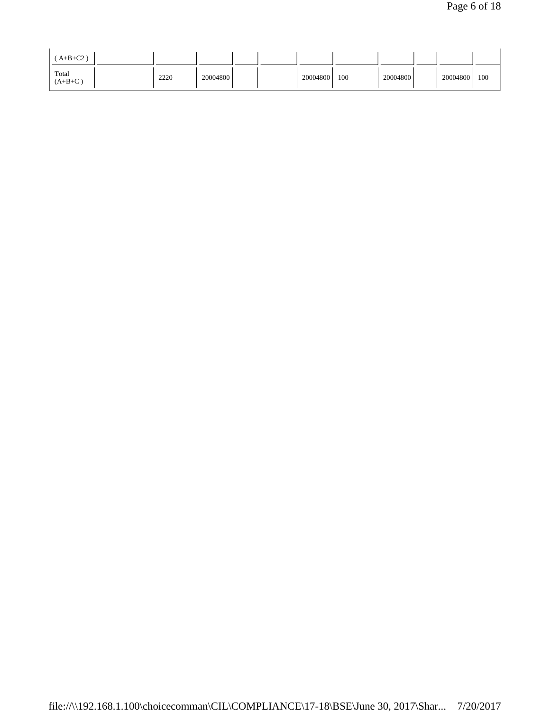| $A+B+C2$           |      |          |  |          |     |          |          |     |
|--------------------|------|----------|--|----------|-----|----------|----------|-----|
| Total<br>$(A+B+C)$ | 2220 | 20004800 |  | 20004800 | 100 | 20004800 | 20004800 | 100 |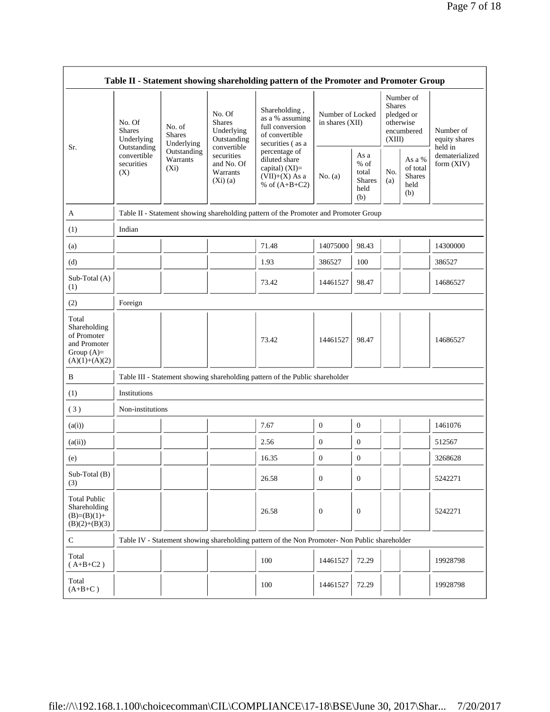|                                                                                         |                                       |                                                                                                                                                          |                                      | Table II - Statement showing shareholding pattern of the Promoter and Promoter Group          |                                     |                                                         |                                                                               |                                                    |                                           |
|-----------------------------------------------------------------------------------------|---------------------------------------|----------------------------------------------------------------------------------------------------------------------------------------------------------|--------------------------------------|-----------------------------------------------------------------------------------------------|-------------------------------------|---------------------------------------------------------|-------------------------------------------------------------------------------|----------------------------------------------------|-------------------------------------------|
|                                                                                         | No. Of<br><b>Shares</b><br>Underlying | No. Of<br><b>Shares</b><br>No. of<br>Underlying<br><b>Shares</b><br>Outstanding<br>Underlying<br>convertible<br>Outstanding<br>Outstanding<br>securities |                                      | Shareholding,<br>as a % assuming<br>full conversion<br>of convertible<br>securities (as a     | Number of Locked<br>in shares (XII) |                                                         | Number of<br><b>Shares</b><br>pledged or<br>otherwise<br>encumbered<br>(XIII) |                                                    | Number of<br>equity shares                |
| Sr.                                                                                     | convertible<br>securities<br>(X)      | Warrants<br>$(X_i)$                                                                                                                                      | and No. Of<br>Warrants<br>$(X_i)(a)$ | percentage of<br>diluted share<br>capital) (XI)=<br>$(VII)+(X)$ As a<br>% of $(A+B+C2)$       | No. (a)                             | As a<br>$%$ of<br>total<br><b>Shares</b><br>held<br>(b) | No.<br>(a)                                                                    | As a %<br>of total<br><b>Shares</b><br>held<br>(b) | held in<br>dematerialized<br>form $(XIV)$ |
| A                                                                                       |                                       |                                                                                                                                                          |                                      | Table II - Statement showing shareholding pattern of the Promoter and Promoter Group          |                                     |                                                         |                                                                               |                                                    |                                           |
| (1)                                                                                     | Indian                                |                                                                                                                                                          |                                      |                                                                                               |                                     |                                                         |                                                                               |                                                    |                                           |
| (a)                                                                                     |                                       |                                                                                                                                                          |                                      | 71.48                                                                                         | 14075000                            | 98.43                                                   |                                                                               |                                                    | 14300000                                  |
| (d)                                                                                     |                                       |                                                                                                                                                          |                                      | 1.93                                                                                          | 386527                              | 100                                                     |                                                                               |                                                    | 386527                                    |
| Sub-Total (A)<br>(1)                                                                    |                                       |                                                                                                                                                          |                                      | 73.42                                                                                         | 14461527                            | 98.47                                                   |                                                                               |                                                    | 14686527                                  |
| (2)                                                                                     | Foreign                               |                                                                                                                                                          |                                      |                                                                                               |                                     |                                                         |                                                                               |                                                    |                                           |
| Total<br>Shareholding<br>of Promoter<br>and Promoter<br>Group $(A)=$<br>$(A)(1)+(A)(2)$ |                                       |                                                                                                                                                          |                                      | 73.42                                                                                         | 14461527                            | 98.47                                                   |                                                                               |                                                    | 14686527                                  |
| B                                                                                       |                                       |                                                                                                                                                          |                                      | Table III - Statement showing shareholding pattern of the Public shareholder                  |                                     |                                                         |                                                                               |                                                    |                                           |
| (1)                                                                                     | Institutions                          |                                                                                                                                                          |                                      |                                                                                               |                                     |                                                         |                                                                               |                                                    |                                           |
| (3)                                                                                     | Non-institutions                      |                                                                                                                                                          |                                      |                                                                                               |                                     |                                                         |                                                                               |                                                    |                                           |
| (a(i))                                                                                  |                                       |                                                                                                                                                          |                                      | 7.67                                                                                          | $\boldsymbol{0}$                    | $\bf{0}$                                                |                                                                               |                                                    | 1461076                                   |
| (a(ii))                                                                                 |                                       |                                                                                                                                                          |                                      | 2.56                                                                                          | $\boldsymbol{0}$                    | $\boldsymbol{0}$                                        |                                                                               |                                                    | 512567                                    |
| (e)                                                                                     |                                       |                                                                                                                                                          |                                      | 16.35                                                                                         | $\boldsymbol{0}$                    | $\boldsymbol{0}$                                        |                                                                               |                                                    | 3268628                                   |
| Sub-Total (B)<br>(3)                                                                    |                                       |                                                                                                                                                          |                                      | 26.58                                                                                         | $\mathbf{0}$                        | $\mathbf{0}$                                            |                                                                               |                                                    | 5242271                                   |
| <b>Total Public</b><br>Shareholding<br>$(B)=(B)(1)+$<br>$(B)(2)+(B)(3)$                 |                                       |                                                                                                                                                          |                                      | 26.58                                                                                         | $\mathbf{0}$                        | $\boldsymbol{0}$                                        |                                                                               |                                                    | 5242271                                   |
| $\mathbf C$                                                                             |                                       |                                                                                                                                                          |                                      | Table IV - Statement showing shareholding pattern of the Non Promoter- Non Public shareholder |                                     |                                                         |                                                                               |                                                    |                                           |
| Total<br>$(A+B+C2)$                                                                     |                                       |                                                                                                                                                          |                                      | 100                                                                                           | 14461527                            | 72.29                                                   |                                                                               |                                                    | 19928798                                  |
| Total<br>$(A+B+C)$                                                                      |                                       |                                                                                                                                                          |                                      | 100                                                                                           | 14461527                            | 72.29                                                   |                                                                               |                                                    | 19928798                                  |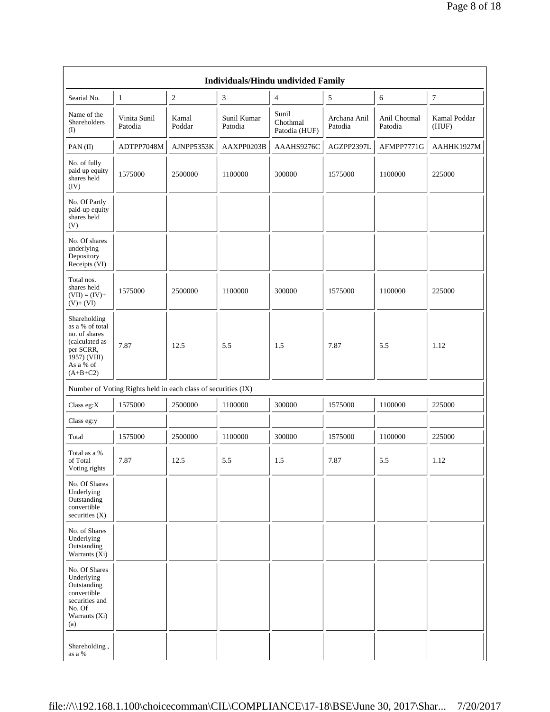|                                                                                                                            |                                                               |                 |                        | <b>Individuals/Hindu undivided Family</b> |                         |                         |                       |
|----------------------------------------------------------------------------------------------------------------------------|---------------------------------------------------------------|-----------------|------------------------|-------------------------------------------|-------------------------|-------------------------|-----------------------|
| Searial No.                                                                                                                | 1                                                             | 2               | $\sqrt{3}$             | $\overline{4}$                            | 5                       | 6                       | $\tau$                |
| Name of the<br>Shareholders<br>(I)                                                                                         | Vinita Sunil<br>Patodia                                       | Kamal<br>Poddar | Sunil Kumar<br>Patodia | Sunil<br>Chothmal<br>Patodia (HUF)        | Archana Anil<br>Patodia | Anil Chotmal<br>Patodia | Kamal Poddar<br>(HUF) |
| PAN(II)                                                                                                                    | ADTPP7048M                                                    | AJNPP5353K      | AAXPP0203B             | AAAHS9276C                                | AGZPP2397L              | AFMPP7771G              | AAHHK1927M            |
| No. of fully<br>paid up equity<br>shares held<br>(IV)                                                                      | 1575000                                                       | 2500000         | 1100000                | 300000                                    | 1575000                 | 1100000                 | 225000                |
| No. Of Partly<br>paid-up equity<br>shares held<br>(V)                                                                      |                                                               |                 |                        |                                           |                         |                         |                       |
| No. Of shares<br>underlying<br>Depository<br>Receipts (VI)                                                                 |                                                               |                 |                        |                                           |                         |                         |                       |
| Total nos.<br>shares held<br>$(VII) = (IV) +$<br>$(V)+(VI)$                                                                | 1575000                                                       | 2500000         | 1100000                | 300000                                    | 1575000                 | 1100000                 | 225000                |
| Shareholding<br>as a % of total<br>no. of shares<br>(calculated as<br>per SCRR,<br>1957) (VIII)<br>As a % of<br>$(A+B+C2)$ | 7.87                                                          | 12.5            | 5.5                    | 1.5                                       | 7.87                    | 5.5                     | 1.12                  |
|                                                                                                                            | Number of Voting Rights held in each class of securities (IX) |                 |                        |                                           |                         |                         |                       |
| Class eg: $X$                                                                                                              | 1575000                                                       | 2500000         | 1100000                | 300000                                    | 1575000                 | 1100000                 | 225000                |
| Class eg:y                                                                                                                 |                                                               |                 |                        |                                           |                         |                         |                       |
| Total                                                                                                                      | 1575000                                                       | 2500000         | 1100000                | 300000                                    | 1575000                 | 1100000                 | 225000                |
| Total as a %<br>of Total<br>Voting rights                                                                                  | 7.87                                                          | 12.5            | 5.5                    | 1.5                                       | 7.87                    | 5.5                     | 1.12                  |
| No. Of Shares<br>Underlying<br>Outstanding<br>convertible<br>securities (X)                                                |                                                               |                 |                        |                                           |                         |                         |                       |
| No. of Shares<br>Underlying<br>Outstanding<br>Warrants (Xi)                                                                |                                                               |                 |                        |                                           |                         |                         |                       |
| No. Of Shares<br>Underlying<br>Outstanding<br>convertible<br>securities and<br>No. Of<br>Warrants (Xi)<br>(a)              |                                                               |                 |                        |                                           |                         |                         |                       |
| Shareholding,<br>as a %                                                                                                    |                                                               |                 |                        |                                           |                         |                         |                       |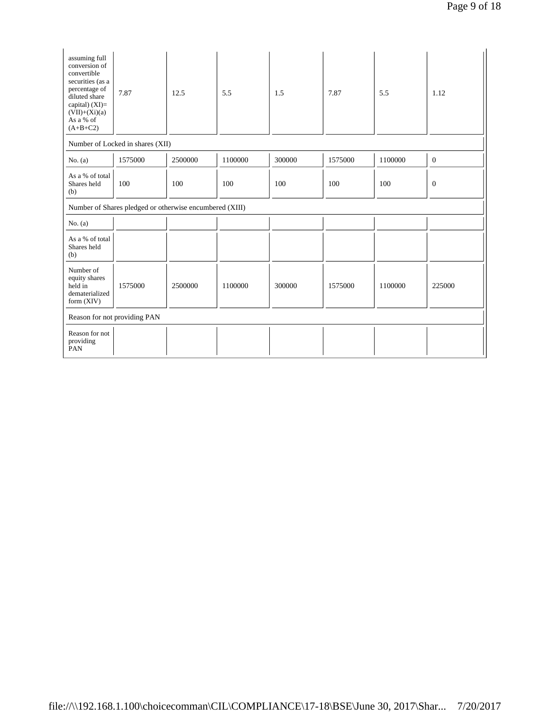| assuming full<br>conversion of<br>convertible<br>securities (as a<br>percentage of<br>diluted share<br>capital) (XI)=<br>$(VII)+(Xi)(a)$<br>As a % of<br>$(A+B+C2)$ | 7.87                                                    | 12.5    | 5.5     | 1.5    | 7.87    | 5.5     | 1.12           |
|---------------------------------------------------------------------------------------------------------------------------------------------------------------------|---------------------------------------------------------|---------|---------|--------|---------|---------|----------------|
|                                                                                                                                                                     | Number of Locked in shares (XII)                        |         |         |        |         |         |                |
| No. $(a)$                                                                                                                                                           | 1575000                                                 | 2500000 | 1100000 | 300000 | 1575000 | 1100000 | $\overline{0}$ |
| As a % of total<br>Shares held<br>(b)                                                                                                                               | 100                                                     | 100     | 100     | 100    | 100     | 100     | $\mathbf{0}$   |
|                                                                                                                                                                     | Number of Shares pledged or otherwise encumbered (XIII) |         |         |        |         |         |                |
| No. $(a)$                                                                                                                                                           |                                                         |         |         |        |         |         |                |
| As a % of total<br>Shares held<br>(b)                                                                                                                               |                                                         |         |         |        |         |         |                |
| Number of<br>equity shares<br>held in<br>dematerialized<br>form (XIV)                                                                                               | 1575000                                                 | 2500000 | 1100000 | 300000 | 1575000 | 1100000 | 225000         |
|                                                                                                                                                                     | Reason for not providing PAN                            |         |         |        |         |         |                |
| Reason for not<br>providing<br>PAN                                                                                                                                  |                                                         |         |         |        |         |         |                |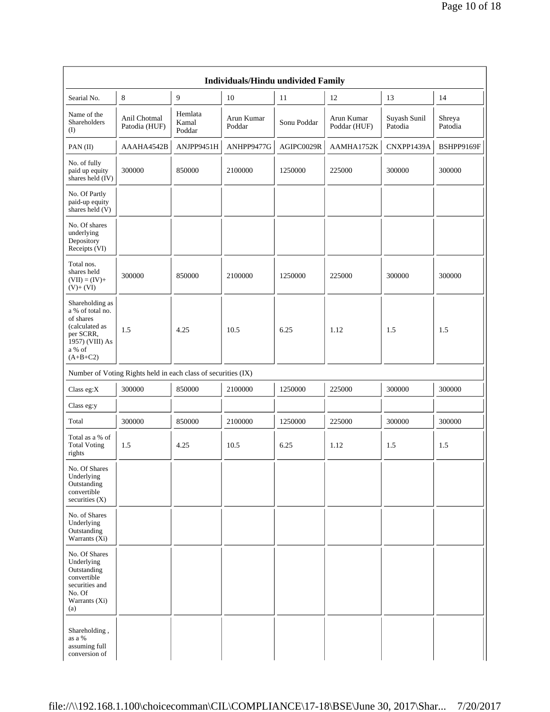|                                                                                                                            |                                                               |                            | Individuals/Hindu undivided Family |             |                            |                         |                   |
|----------------------------------------------------------------------------------------------------------------------------|---------------------------------------------------------------|----------------------------|------------------------------------|-------------|----------------------------|-------------------------|-------------------|
| Searial No.                                                                                                                | 8                                                             | $\overline{9}$             | 10                                 | 11          | 12                         | 13                      | 14                |
| Name of the<br>Shareholders<br>(1)                                                                                         | Anil Chotmal<br>Patodia (HUF)                                 | Hemlata<br>Kamal<br>Poddar | Arun Kumar<br>Poddar               | Sonu Poddar | Arun Kumar<br>Poddar (HUF) | Suyash Sunil<br>Patodia | Shreya<br>Patodia |
| PAN (II)                                                                                                                   | AAAHA4542B                                                    | ANJPP9451H                 | ANHPP9477G                         | AGIPC0029R  | AAMHA1752K                 | CNXPP1439A              | BSHPP9169F        |
| No. of fully<br>paid up equity<br>shares held (IV)                                                                         | 300000                                                        | 850000                     | 2100000                            | 1250000     | 225000                     | 300000                  | 300000            |
| No. Of Partly<br>paid-up equity<br>shares held (V)                                                                         |                                                               |                            |                                    |             |                            |                         |                   |
| No. Of shares<br>underlying<br>Depository<br>Receipts (VI)                                                                 |                                                               |                            |                                    |             |                            |                         |                   |
| Total nos.<br>shares held<br>$(VII) = (IV) +$<br>$(V)+(VI)$                                                                | 300000                                                        | 850000                     | 2100000                            | 1250000     | 225000                     | 300000                  | 300000            |
| Shareholding as<br>a % of total no.<br>of shares<br>(calculated as<br>per SCRR,<br>1957) (VIII) As<br>a % of<br>$(A+B+C2)$ | 1.5                                                           | 4.25                       | 10.5                               | 6.25        | 1.12                       | 1.5                     | 1.5               |
|                                                                                                                            | Number of Voting Rights held in each class of securities (IX) |                            |                                    |             |                            |                         |                   |
| Class eg: $X$                                                                                                              | 300000                                                        | 850000                     | 2100000                            | 1250000     | 225000                     | 300000                  | 300000            |
| Class eg:y                                                                                                                 |                                                               |                            |                                    |             |                            |                         |                   |
| Total                                                                                                                      | 300000                                                        | 850000                     | 2100000                            | 1250000     | 225000                     | 300000                  | 300000            |
| Total as a % of<br><b>Total Voting</b><br>rights                                                                           | 1.5                                                           | 4.25                       | 10.5                               | 6.25        | 1.12                       | 1.5                     | 1.5               |
| No. Of Shares<br>Underlying<br>Outstanding<br>convertible<br>securities (X)                                                |                                                               |                            |                                    |             |                            |                         |                   |
| No. of Shares<br>Underlying<br>Outstanding<br>Warrants (Xi)                                                                |                                                               |                            |                                    |             |                            |                         |                   |
| No. Of Shares<br>Underlying<br>Outstanding<br>convertible<br>securities and<br>No. Of<br>Warrants (Xi)<br>(a)              |                                                               |                            |                                    |             |                            |                         |                   |
| Shareholding,<br>as a %<br>assuming full<br>conversion of                                                                  |                                                               |                            |                                    |             |                            |                         |                   |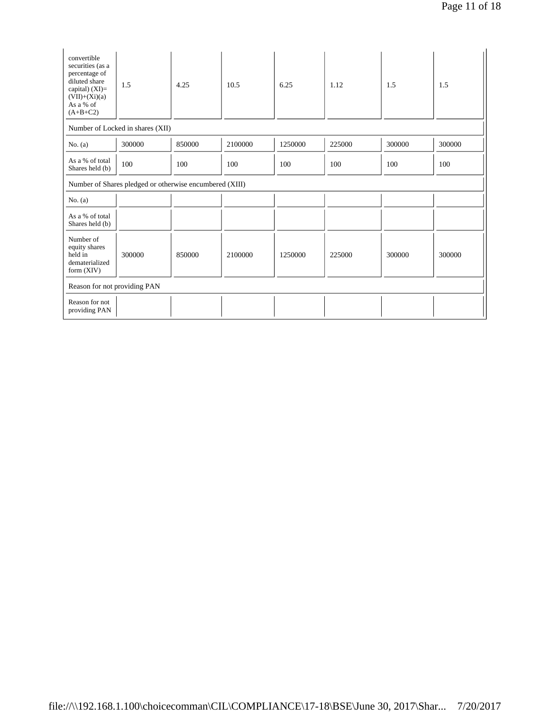| convertible<br>securities (as a<br>percentage of<br>diluted share<br>capital) $(XI)=$<br>$(VII)+(Xi)(a)$<br>As a % of<br>$(A+B+C2)$ | 1.5                                                     | 4.25   | 10.5    | 6.25    | 1.12   | 1.5    | 1.5    |
|-------------------------------------------------------------------------------------------------------------------------------------|---------------------------------------------------------|--------|---------|---------|--------|--------|--------|
|                                                                                                                                     | Number of Locked in shares (XII)                        |        |         |         |        |        |        |
| No. $(a)$                                                                                                                           | 300000                                                  | 850000 | 2100000 | 1250000 | 225000 | 300000 | 300000 |
| As a % of total<br>Shares held (b)                                                                                                  | 100                                                     | 100    | 100     | 100     | 100    | 100    | 100    |
|                                                                                                                                     | Number of Shares pledged or otherwise encumbered (XIII) |        |         |         |        |        |        |
| No. $(a)$                                                                                                                           |                                                         |        |         |         |        |        |        |
| As a % of total<br>Shares held (b)                                                                                                  |                                                         |        |         |         |        |        |        |
| Number of<br>equity shares<br>held in<br>dematerialized<br>form $(XIV)$                                                             | 300000                                                  | 850000 | 2100000 | 1250000 | 225000 | 300000 | 300000 |
| Reason for not providing PAN                                                                                                        |                                                         |        |         |         |        |        |        |
| Reason for not<br>providing PAN                                                                                                     |                                                         |        |         |         |        |        |        |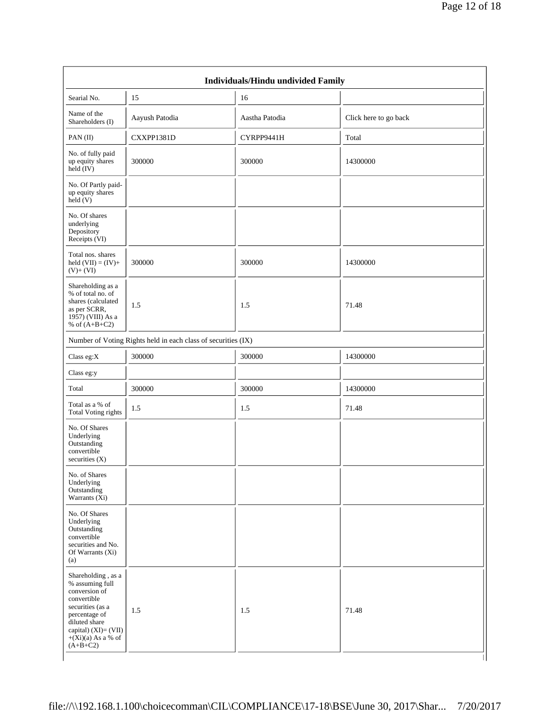| Searial No.                                                                                                                                                                               | 15                                                            | 16             |                       |
|-------------------------------------------------------------------------------------------------------------------------------------------------------------------------------------------|---------------------------------------------------------------|----------------|-----------------------|
| Name of the<br>Shareholders (I)                                                                                                                                                           | Aayush Patodia                                                | Aastha Patodia | Click here to go back |
| PAN $(II)$                                                                                                                                                                                | CXXPP1381D                                                    | CYRPP9441H     | Total                 |
| No. of fully paid<br>up equity shares<br>held (IV)                                                                                                                                        | 300000                                                        | 300000         | 14300000              |
| No. Of Partly paid-<br>up equity shares<br>held(V)                                                                                                                                        |                                                               |                |                       |
| No. Of shares<br>underlying<br>Depository<br>Receipts (VI)                                                                                                                                |                                                               |                |                       |
| Total nos. shares<br>held $(VII) = (IV) +$<br>$(V)+(VI)$                                                                                                                                  | 300000                                                        | 300000         | 14300000              |
| Shareholding as a<br>% of total no. of<br>shares (calculated<br>as per SCRR,<br>$19\overline{57}$ ) (VIII) As a<br>% of $(A+B+C2)$                                                        | 1.5                                                           | 1.5            | 71.48                 |
|                                                                                                                                                                                           | Number of Voting Rights held in each class of securities (IX) |                |                       |
| Class eg: $X$                                                                                                                                                                             | 300000                                                        | 300000         | 14300000              |
| Class eg:y                                                                                                                                                                                |                                                               |                |                       |
| Total                                                                                                                                                                                     | 300000                                                        | 300000         | 14300000              |
| Total as a % of<br><b>Total Voting rights</b>                                                                                                                                             | 1.5                                                           | 1.5            | 71.48                 |
| No. Of Shares<br>Underlying<br>Outstanding<br>convertible<br>securities (X)                                                                                                               |                                                               |                |                       |
| No. of Shares<br>Underlying<br>Outstanding<br>Warrants $(X_i)$                                                                                                                            |                                                               |                |                       |
| No. Of Shares<br>Underlying<br>Outstanding<br>convertible<br>securities and No.<br>Of Warrants (Xi)<br>(a)                                                                                |                                                               |                |                       |
| Shareholding, as a<br>% assuming full<br>conversion of<br>convertible<br>securities (as a<br>percentage of<br>diluted share<br>capital) (XI)= (VII)<br>$+(Xi)(a)$ As a % of<br>$(A+B+C2)$ | 1.5                                                           | 1.5            | 71.48                 |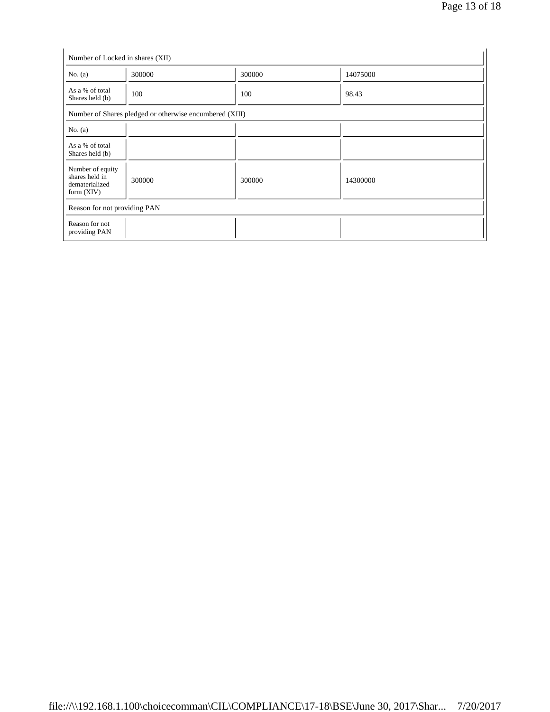| No. $(a)$                                                            | 300000                                                  | 300000 | 14075000 |  |
|----------------------------------------------------------------------|---------------------------------------------------------|--------|----------|--|
| As a % of total<br>Shares held (b)                                   | 100                                                     | 100    | 98.43    |  |
|                                                                      | Number of Shares pledged or otherwise encumbered (XIII) |        |          |  |
| No. $(a)$                                                            |                                                         |        |          |  |
| As a % of total<br>Shares held (b)                                   |                                                         |        |          |  |
| Number of equity<br>shares held in<br>dematerialized<br>form $(XIV)$ | 300000                                                  | 300000 | 14300000 |  |
| Reason for not providing PAN                                         |                                                         |        |          |  |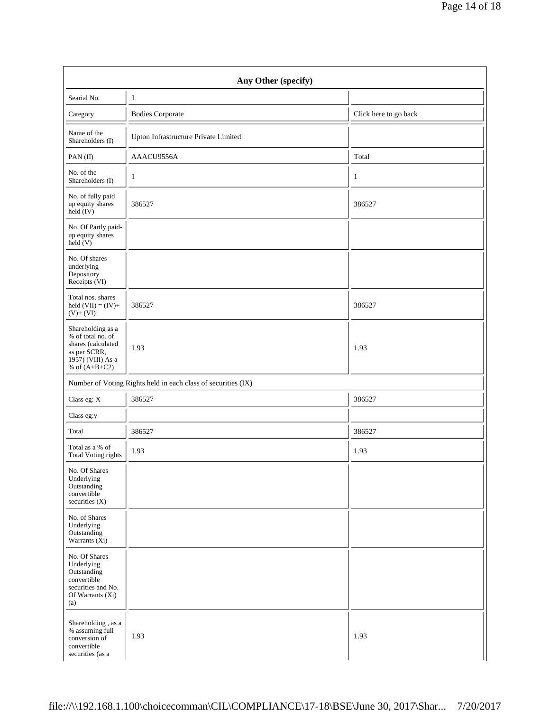| Any Other (specify)                                                                                                  |                                                               |                       |  |
|----------------------------------------------------------------------------------------------------------------------|---------------------------------------------------------------|-----------------------|--|
| Searial No.                                                                                                          | $\mathbf{1}$                                                  |                       |  |
| Category                                                                                                             | <b>Bodies Corporate</b>                                       | Click here to go back |  |
| Name of the<br>Shareholders (I)                                                                                      | Upton Infrastructure Private Limited                          |                       |  |
| PAN(II)                                                                                                              | AAACU9556A                                                    | Total                 |  |
| No. of the<br>Shareholders (I)                                                                                       | $\mathbf{1}$                                                  | $\mathbf{1}$          |  |
| No. of fully paid<br>up equity shares<br>held (IV)                                                                   | 386527                                                        | 386527                |  |
| No. Of Partly paid-<br>up equity shares<br>held (V)                                                                  |                                                               |                       |  |
| No. Of shares<br>underlying<br>Depository<br>Receipts (VI)                                                           |                                                               |                       |  |
| Total nos. shares<br>held $(VII) = (IV) +$<br>$(V)+(VI)$                                                             | 386527                                                        | 386527                |  |
| Shareholding as a<br>% of total no. of<br>shares (calculated<br>as per SCRR,<br>1957) (VIII) As a<br>% of $(A+B+C2)$ | 1.93                                                          | 1.93                  |  |
|                                                                                                                      | Number of Voting Rights held in each class of securities (IX) |                       |  |
| Class eg: X                                                                                                          | 386527                                                        | 386527                |  |
| Class eg:y                                                                                                           |                                                               |                       |  |
| Total                                                                                                                | 386527                                                        | 386527                |  |
| Total as a % of<br><b>Total Voting rights</b>                                                                        | 1.93                                                          | 1.93                  |  |
| No. Of Shares<br>Underlying<br>Outstanding<br>convertible<br>securities (X)                                          |                                                               |                       |  |
| No. of Shares<br>Underlying<br>Outstanding<br>Warrants (Xi)                                                          |                                                               |                       |  |
| No. Of Shares<br>Underlying<br>Outstanding<br>convertible<br>securities and No.<br>Of Warrants (Xi)<br>(a)           |                                                               |                       |  |
| Shareholding, as a<br>% assuming full<br>conversion of<br>convertible<br>securities (as a                            | 1.93                                                          | 1.93                  |  |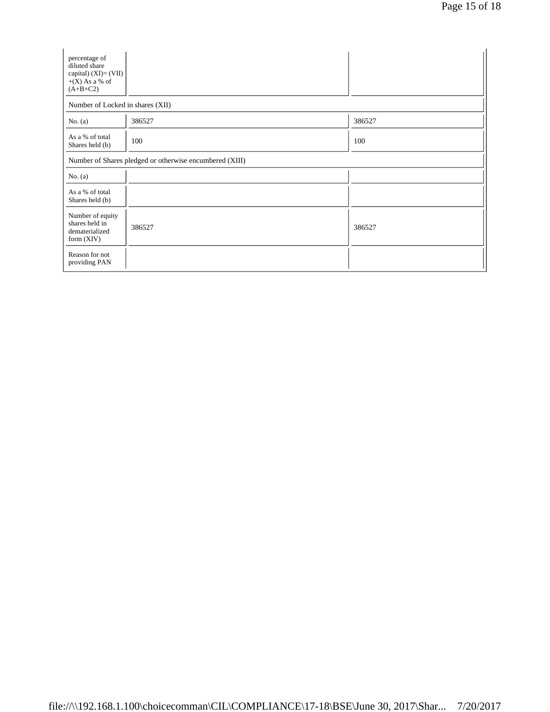| percentage of<br>diluted share<br>capital) $(XI)=(VII)$<br>$+(X)$ As a % of<br>$(A+B+C2)$ |        |        |  |
|-------------------------------------------------------------------------------------------|--------|--------|--|
| Number of Locked in shares (XII)                                                          |        |        |  |
| No. $(a)$                                                                                 | 386527 | 386527 |  |
| As a % of total<br>Shares held (b)                                                        | 100    | 100    |  |
| Number of Shares pledged or otherwise encumbered (XIII)                                   |        |        |  |
| No. $(a)$                                                                                 |        |        |  |
| As a % of total<br>Shares held (b)                                                        |        |        |  |
| Number of equity<br>shares held in<br>dematerialized<br>form $(XIV)$                      | 386527 | 386527 |  |
| Reason for not<br>providing PAN                                                           |        |        |  |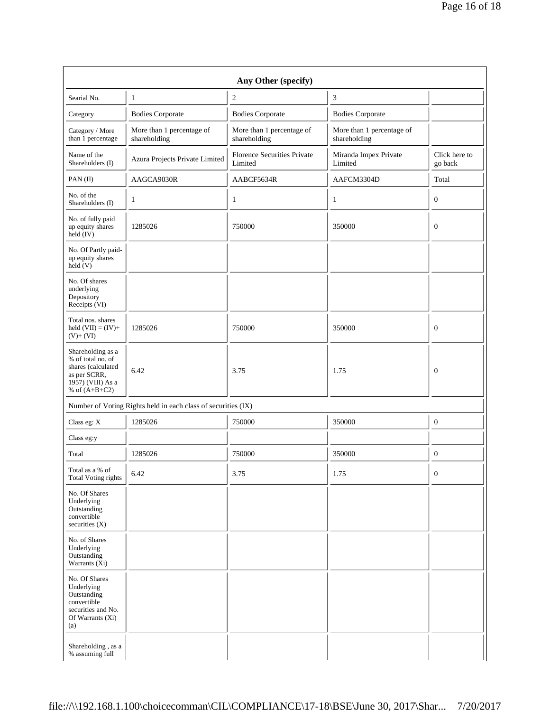| Any Other (specify)                                                                                                  |                                                               |                                           |                                           |                          |
|----------------------------------------------------------------------------------------------------------------------|---------------------------------------------------------------|-------------------------------------------|-------------------------------------------|--------------------------|
| Searial No.                                                                                                          | 1                                                             | $\overline{c}$                            | 3                                         |                          |
| Category                                                                                                             | <b>Bodies Corporate</b>                                       | <b>Bodies Corporate</b>                   | <b>Bodies Corporate</b>                   |                          |
| Category / More<br>than 1 percentage                                                                                 | More than 1 percentage of<br>shareholding                     | More than 1 percentage of<br>shareholding | More than 1 percentage of<br>shareholding |                          |
| Name of the<br>Shareholders (I)                                                                                      | Azura Projects Private Limited                                | Florence Securities Private<br>Limited    | Miranda Impex Private<br>Limited          | Click here to<br>go back |
| PAN(II)                                                                                                              | AAGCA9030R                                                    | AABCF5634R                                | AAFCM3304D                                | Total                    |
| No. of the<br>Shareholders (I)                                                                                       | 1                                                             | 1                                         | 1                                         | $\mathbf{0}$             |
| No. of fully paid<br>up equity shares<br>$\text{held} (IV)$                                                          | 1285026                                                       | 750000                                    | 350000                                    | $\mathbf{0}$             |
| No. Of Partly paid-<br>up equity shares<br>$\text{held}$ (V)                                                         |                                                               |                                           |                                           |                          |
| No. Of shares<br>underlying<br>Depository<br>Receipts (VI)                                                           |                                                               |                                           |                                           |                          |
| Total nos. shares<br>held $(VII) = (IV) +$<br>$(V)$ + $(VI)$                                                         | 1285026                                                       | 750000                                    | 350000                                    | $\mathbf{0}$             |
| Shareholding as a<br>% of total no. of<br>shares (calculated<br>as per SCRR,<br>1957) (VIII) As a<br>% of $(A+B+C2)$ | 6.42                                                          | 3.75                                      | 1.75                                      | $\mathbf{0}$             |
|                                                                                                                      | Number of Voting Rights held in each class of securities (IX) |                                           |                                           |                          |
| Class eg: X                                                                                                          | 1285026                                                       | 750000                                    | 350000                                    | $\bf{0}$                 |
| Class eg:y                                                                                                           |                                                               |                                           |                                           |                          |
| Total                                                                                                                | 1285026                                                       | 750000                                    | 350000                                    | $\boldsymbol{0}$         |
| Total as a % of<br><b>Total Voting rights</b>                                                                        | 6.42                                                          | 3.75                                      | 1.75                                      | $\boldsymbol{0}$         |
| No. Of Shares<br>Underlying<br>Outstanding<br>convertible<br>securities $(X)$                                        |                                                               |                                           |                                           |                          |
| No. of Shares<br>Underlying<br>Outstanding<br>Warrants (Xi)                                                          |                                                               |                                           |                                           |                          |
| No. Of Shares<br>Underlying<br>Outstanding<br>convertible<br>securities and No.<br>Of Warrants (Xi)<br>(a)           |                                                               |                                           |                                           |                          |
| Shareholding, as a<br>% assuming full                                                                                |                                                               |                                           |                                           |                          |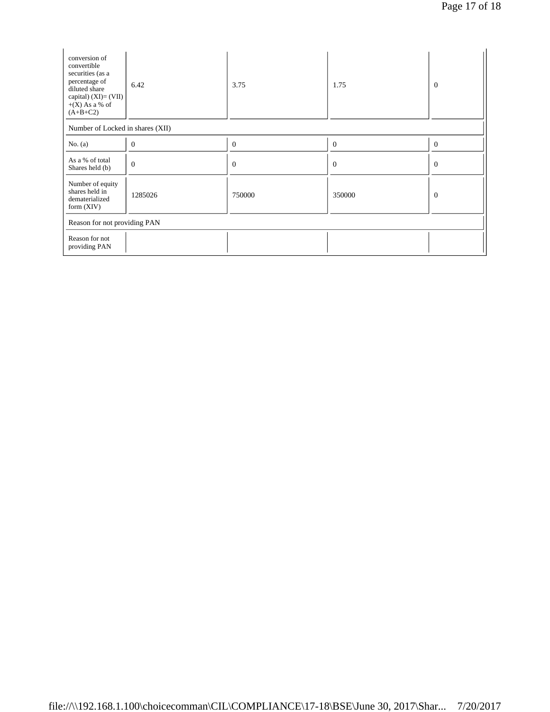| conversion of<br>convertible<br>securities (as a<br>percentage of<br>diluted share<br>capital) $(XI) = (VII)$<br>$+(X)$ As a % of<br>$(A+B+C2)$ | 6.42           | 3.75         | 1.75         | $\mathbf{0}$   |
|-------------------------------------------------------------------------------------------------------------------------------------------------|----------------|--------------|--------------|----------------|
| Number of Locked in shares (XII)                                                                                                                |                |              |              |                |
| No. $(a)$                                                                                                                                       | $\overline{0}$ | $\mathbf{0}$ | $\mathbf{0}$ | $\mathbf{0}$   |
| As a % of total<br>Shares held (b)                                                                                                              | $\overline{0}$ | $\mathbf{0}$ | $\mathbf{0}$ | $\overline{0}$ |
| Number of equity<br>shares held in<br>dematerialized<br>form $(XIV)$                                                                            | 1285026        | 750000       | 350000       | $\overline{0}$ |
| Reason for not providing PAN                                                                                                                    |                |              |              |                |
| Reason for not<br>providing PAN                                                                                                                 |                |              |              |                |